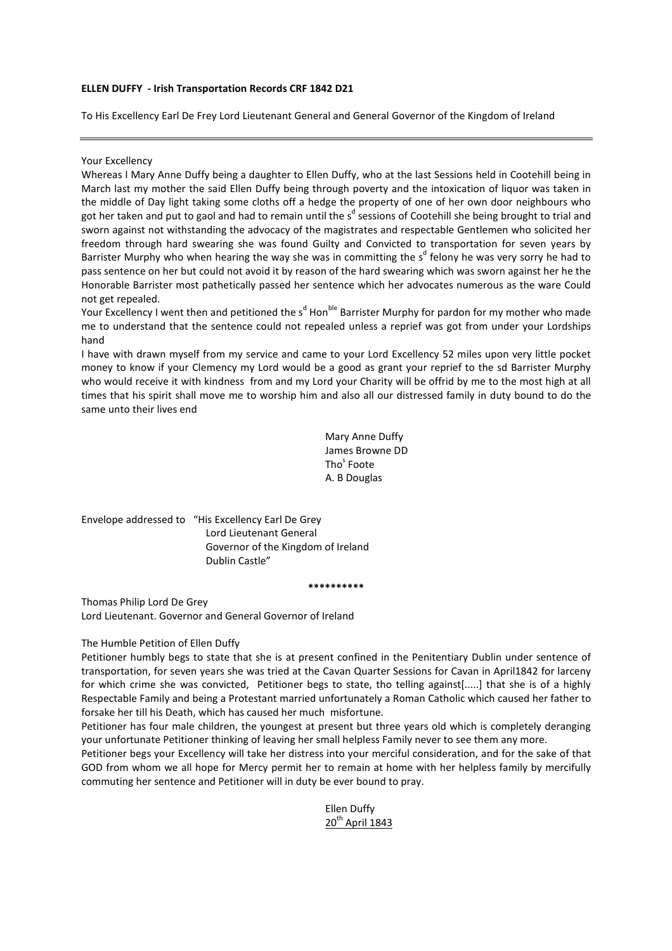## ELLEN DUFFY - Irish Transportation Records CRF 1842 D21

To His Excellency Earl De Frey Lord Lieutenant General and General Governor of the Kingdom of Ireland

### Your Excellency

Whereas I Mary Anne Duffy being a daughter to Ellen Duffy, who at the last Sessions held in Cootehill being in March last my mother the said Ellen Duffy being through poverty and the intoxication of liquor was taken in the middle of Day light taking some cloths off a hedge the property of one of her own door neighbours who got her taken and put to gaol and had to remain until the s<sup>d</sup> sessions of Cootehill she being brought to trial and sworn against not withstanding the advocacy of the magistrates and respectable Gentlemen who solicited her freedom through hard swearing she was found Guilty and Convicted to transportation for seven years by Barrister Murphy who when hearing the way she was in committing the s<sup>d</sup> felony he was very sorry he had to pass sentence on her but could not avoid it by reason of the hard swearing which was sworn against her he the Honorable Barrister most pathetically passed her sentence which her advocates numerous as the ware Could not get repealed.

Your Excellency I went then and petitioned the s<sup>d</sup> Hon<sup>ble</sup> Barrister Murphy for pardon for my mother who made me to understand that the sentence could not repealed unless a reprief was got from under your Lordships hand

I have with drawn myself from my service and came to your Lord Excellency 52 miles upon very little pocket money to know if your Clemency my Lord would be a good as grant your reprief to the sd Barrister Murphy who would receive it with kindness from and my Lord your Charity will be offrid by me to the most high at all times that his spirit shall move me to worship him and also all our distressed family in duty bound to do the same unto their lives end

> Mary Anne Duffy James Browne DD Tho<sup>s</sup> Foote A. B Douglas

Envelope addressed to "His Excellency Earl De Grey Lord Lieutenant General Governor of the Kingdom of Ireland Dublin Castle"

#### \*\*\*\*\*\*\*\*\*\*

Thomas Philip Lord De Grey Lord Lieutenant. Governor and General Governor of Ireland

## The Humble Petition of Ellen Duffy

Petitioner humbly begs to state that she is at present confined in the Penitentiary Dublin under sentence of transportation, for seven years she was tried at the Cavan Quarter Sessions for Cavan in April1842 for larceny for which crime she was convicted, Petitioner begs to state, tho telling against[.....] that she is of a highly Respectable Family and being a Protestant married unfortunately a Roman Catholic which caused her father to forsake her till his Death, which has caused her much misfortune.

Petitioner has four male children, the youngest at present but three years old which is completely deranging your unfortunate Petitioner thinking of leaving her small helpless Family never to see them any more.

Petitioner begs your Excellency will take her distress into your merciful consideration, and for the sake of that GOD from whom we all hope for Mercy permit her to remain at home with her helpless family by mercifully commuting her sentence and Petitioner will in duty be ever bound to pray.

> Ellen Duffy 20<sup>th</sup> April 1843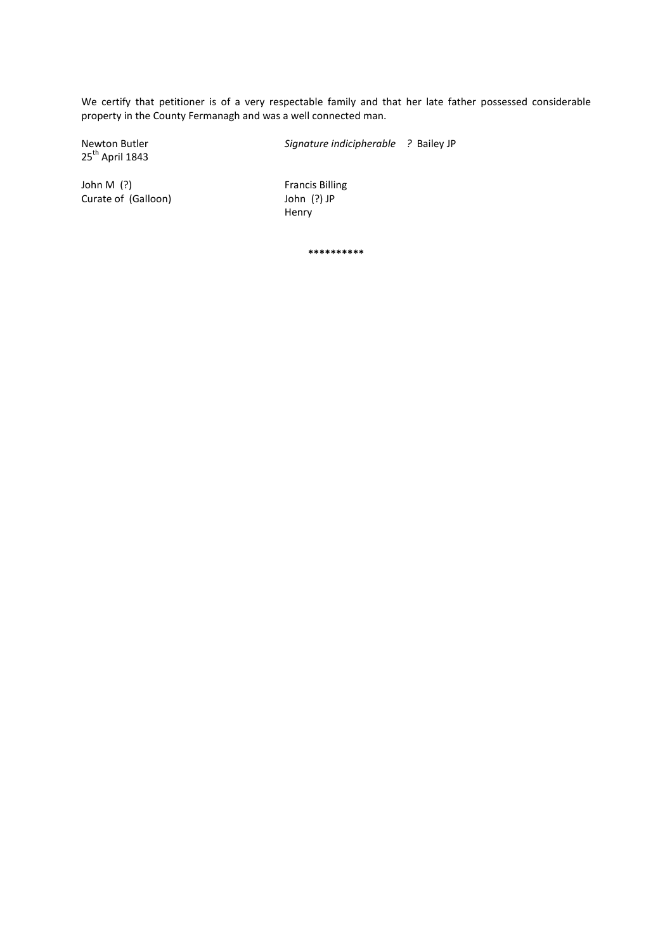We certify that petitioner is of a very respectable family and that her late father possessed considerable property in the County Fermanagh and was a well connected man.

25<sup>th</sup> April 1843

Newton Butler Signature indicipherable ? Bailey JP

John M (?) **Francis Billing** 

Curate of (Galloon) John (?) JP Henry

\*\*\*\*\*\*\*\*\*\*